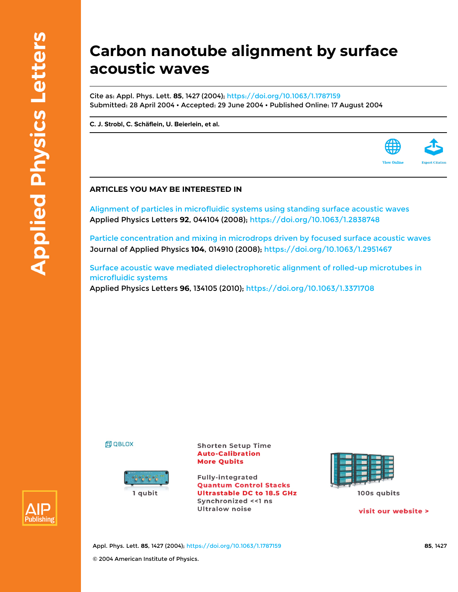## **Carbon nanotube alignment by surface acoustic waves**

Cite as: Appl. Phys. Lett. **85**, 1427 (2004); <https://doi.org/10.1063/1.1787159> Submitted: 28 April 2004 • Accepted: 29 June 2004 • Published Online: 17 August 2004

**[C. J. Strobl](https://aip.scitation.org/author/Strobl%2C+C+J), [C. Schäflein](https://aip.scitation.org/author/Sch%C3%A4flein%2C+C), [U. Beierlein](https://aip.scitation.org/author/Beierlein%2C+U), et al.**

## **ARTICLES YOU MAY BE INTERESTED IN**

[Alignment of particles in microfluidic systems using standing surface acoustic waves](https://aip.scitation.org/doi/10.1063/1.2838748) Applied Physics Letters **92**, 044104 (2008);<https://doi.org/10.1063/1.2838748>

[Particle concentration and mixing in microdrops driven by focused surface acoustic waves](https://aip.scitation.org/doi/10.1063/1.2951467) Journal of Applied Physics **104**, 014910 (2008);<https://doi.org/10.1063/1.2951467>

[Surface acoustic wave mediated dielectrophoretic alignment of rolled-up microtubes in](https://aip.scitation.org/doi/10.1063/1.3371708) [microfluidic systems](https://aip.scitation.org/doi/10.1063/1.3371708) Applied Physics Letters **96**, 134105 (2010);<https://doi.org/10.1063/1.3371708>

**印 QBLOX** 



**Shorten Setup Time Auto-Calibration More Qubits** 

**Fully-integrated Quantum Control Stacks Ultrastable DC to 18.5 GHz** Synchronized << 1 ns **Ultralow noise** 



visit our website >

**View Online** 



Appl. Phys. Lett. **85**, 1427 (2004); <https://doi.org/10.1063/1.1787159> **85**, 1427 © 2004 American Institute of Physics.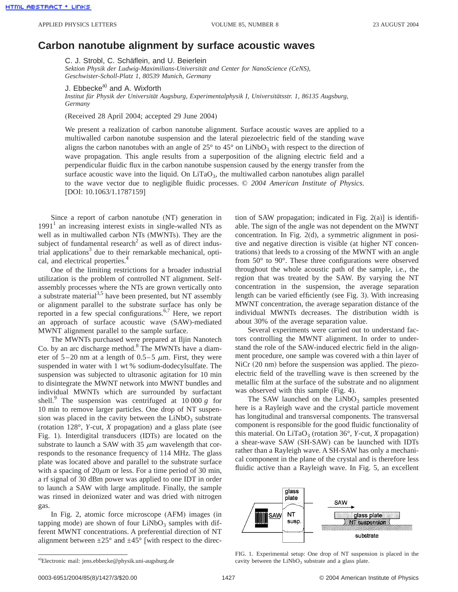## **Carbon nanotube alignment by surface acoustic waves**

C. J. Strobl, C. Schäflein, and U. Beierlein

*Sektion Physik der Ludwig-Maximilians-Universität and Center for NanoScience (CeNS), Geschwister-Scholl-Platz 1, 80539 Munich, Germany*

J. Ebbecke<sup>a)</sup> and A. Wixforth

*Institut für Physik der Universität Augsburg, Experimentalphysik I, Universitätsstr. 1, 86135 Augsburg, Germany*

(Received 28 April 2004; accepted 29 June 2004)

We present a realization of carbon nanotube alignment. Surface acoustic waves are applied to a multiwalled carbon nanotube suspension and the lateral piezoelectric field of the standing wave aligns the carbon nanotubes with an angle of  $25^{\circ}$  to  $45^{\circ}$  on LiNbO<sub>3</sub> with respect to the direction of wave propagation. This angle results from a superposition of the aligning electric field and a perpendicular fluidic flux in the carbon nanotube suspension caused by the energy transfer from the surface acoustic wave into the liquid. On  $LiTaO<sub>3</sub>$ , the multiwalled carbon nanotubes align parallel to the wave vector due to negligible fluidic processes. © *2004 American Institute of Physics*. [DOI: 10.1063/1.1787159]

Since a report of carbon nanotube (NT) generation in  $1991<sup>1</sup>$  an increasing interest exists in single-walled NTs as well as in multiwalled carbon NTs (MWNTs). They are the subject of fundamental research<sup>2</sup> as well as of direct industrial applications<sup>3</sup> due to their remarkable mechanical, optical, and electrical properties.<sup>4</sup>

One of the limiting restrictions for a broader industrial utilization is the problem of controlled NT alignment. Selfassembly processes where the NTs are grown vertically onto a substrate material<sup>3,5</sup> have been presented, but NT assembly or alignment parallel to the substrate surface has only be reported in a few special configurations.<sup>6,7</sup> Here, we report an approach of surface acoustic wave (SAW)-mediated MWNT alignment parallel to the sample surface.

The MWNTs purchased were prepared at Iljin Nanotech Co. by an arc discharge method.<sup>8</sup> The MWNTs have a diameter of  $5-20$  nm at a length of  $0.5-5$   $\mu$ m. First, they were suspended in water with 1 wt % sodium-dodecylsulfate. The suspension was subjected to ultrasonic agitation for 10 min to disintegrate the MWNT network into MWNT bundles and individual MWNTs which are surrounded by surfactant shell.<sup>9</sup> The suspension was centrifuged at  $10\,000\,g$  for 10 min to remove larger particles. One drop of NT suspension was placed in the cavity between the  $LiNbO<sub>3</sub>$  substrate (rotation 128°, *Y*-cut, *X* propagation) and a glass plate (see Fig. 1). Interdigital transducers (IDTs) are located on the substrate to launch a SAW with 35  $\mu$ m wavelength that corresponds to the resonance frequency of 114 MHz. The glass plate was located above and parallel to the substrate surface with a spacing of  $20\mu$ m or less. For a time period of 30 min, a rf signal of 30 dBm power was applied to one IDT in order to launch a SAW with large amplitude. Finally, the sample was rinsed in deionized water and was dried with nitrogen gas.

In Fig. 2, atomic force microscope (AFM) images (in tapping mode) are shown of four  $LiNbO<sub>3</sub>$  samples with different MWNT concentrations. A preferential direction of NT alignment between  $\pm 25^{\circ}$  and  $\pm 45^{\circ}$  [with respect to the direction of SAW propagation; indicated in Fig. 2(a)] is identifiable. The sign of the angle was not dependent on the MWNT concentration. In Fig. 2(d), a symmetric alignment in positive and negative direction is visible (at higher NT concentrations) that leeds to a crossing of the MWNT with an angle from 50° to 90°. These three configurations were observed throughout the whole acoustic path of the sample, i.e., the region that was treated by the SAW. By varying the NT concentration in the suspension, the average separation length can be varied efficiently (see Fig. 3). With increasing MWNT concentration, the average separation distance of the individual MWNTs decreases. The distribution width is about 30% of the average separation value.

Several experiments were carried out to understand factors controlling the MWNT alignment. In order to understand the role of the SAW-induced electric field in the alignment procedure, one sample was covered with a thin layer of  $NiCr$  (20 nm) before the suspension was applied. The piezoelectric field of the travelling wave is then screened by the metallic film at the surface of the substrate and no alignment was observed with this sample (Fig. 4).

The SAW launched on the  $LiNbO<sub>3</sub>$  samples presented here is a Rayleigh wave and the crystal particle movement has longitudinal and transversal components. The transversal component is responsible for the good fluidic functionality of this material. On LiTaO<sub>3</sub> (rotation  $36^\circ$ , *Y*-cut, *X* propagation) a shear-wave SAW (SH-SAW) can be launched with IDTs rather than a Rayleigh wave. A SH-SAW has only a mechanical component in the plane of the crystal and is therefore less fluidic active than a Rayleigh wave. In Fig. 5, an excellent



FIG. 1. Experimental setup: One drop of NT suspension is placed in the cavity between the  $LiNbO<sub>3</sub>$  substrate and a glass plate.

a)Electronic mail: jens.ebbecke@physik.uni-augsburg.de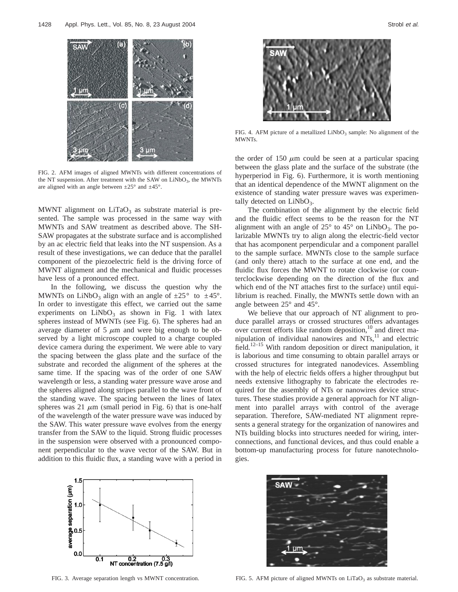

FIG. 2. AFM images of aligned MWNTs with different concentrations of the NT suspension. After treatment with the SAW on  $LiNbO<sub>3</sub>$ , the MWNTs are aligned with an angle between  $\pm 25^{\circ}$  and  $\pm 45^{\circ}$ .

MWNT alignment on  $LiTaO<sub>3</sub>$  as substrate material is presented. The sample was processed in the same way with MWNTs and SAW treatment as described above. The SH-SAW propagates at the substrate surface and is accomplished by an ac electric field that leaks into the NT suspension. As a result of these investigations, we can deduce that the parallel component of the piezoelectric field is the driving force of MWNT alignment and the mechanical and fluidic processes have less of a pronounced effect.

In the following, we discuss the question why the MWNTs on LiNbO<sub>3</sub> align with an angle of  $\pm 25^{\circ}$  to  $\pm 45^{\circ}$ . In order to investigate this effect, we carried out the same experiments on  $LiNbO<sub>3</sub>$  as shown in Fig. 1 with latex spheres instead of MWNTs (see Fig. 6). The spheres had an average diameter of 5  $\mu$ m and were big enough to be observed by a light microscope coupled to a charge coupled device camera during the experiment. We were able to vary the spacing between the glass plate and the surface of the substrate and recorded the alignment of the spheres at the same time. If the spacing was of the order of one SAW wavelength or less, a standing water pressure wave arose and the spheres aligned along stripes parallel to the wave front of the standing wave. The spacing between the lines of latex spheres was 21  $\mu$ m (small period in Fig. 6) that is one-half of the wavelength of the water pressure wave was induced by the SAW. This water pressure wave evolves from the energy transfer from the SAW to the liquid. Strong fluidic processes in the suspension were observed with a pronounced component perpendicular to the wave vector of the SAW. But in addition to this fluidic flux, a standing wave with a period in



FIG. 4. AFM picture of a metallized  $LiNbO<sub>3</sub>$  sample: No alignment of the MWNTs.

the order of 150  $\mu$ m could be seen at a particular spacing between the glass plate and the surface of the substrate (the hyperperiod in Fig. 6). Furthermore, it is worth mentioning that an identical dependence of the MWNT alignment on the existence of standing water pressure waves was experimentally detected on  $LiNbO<sub>3</sub>$ .

The combination of the alignment by the electric field and the fluidic effect seems to be the reason for the NT alignment with an angle of  $25^{\circ}$  to  $45^{\circ}$  on LiNbO<sub>3</sub>. The polarizable MWNTs try to align along the electric-field vector that has acomponent perpendicular and a component parallel to the sample surface. MWNTs close to the sample surface (and only there) attach to the surface at one end, and the fluidic flux forces the MWNT to rotate clockwise (or counterclockwise depending on the direction of the flux and which end of the NT attaches first to the surface) until equilibrium is reached. Finally, the MWNTs settle down with an angle between 25° and 45°.

We believe that our approach of NT alignment to produce parallel arrays or crossed structures offers advantages over current efforts like random deposition,<sup>10</sup> and direct manipulation of individual nanowires and  $NTs$ ,<sup>11</sup> and electric field.<sup>12–15</sup> With random deposition or direct manipulation, it is laborious and time consuming to obtain parallel arrays or crossed structures for integrated nanodevices. Assembling with the help of electric fields offers a higher throughput but needs extensive lithography to fabricate the electrodes required for the assembly of NTs or nanowires device structures. These studies provide a general approach for NT alignment into parallel arrays with control of the average separation. Therefore, SAW-mediated NT alignment represents a general strategy for the organization of nanowires and NTs building blocks into structures needed for wiring, interconnections, and functional devices, and thus could enable a bottom-up manufacturing process for future nanotechnologies.





FIG. 3. Average separation length vs MWNT concentration.

FIG. 5. AFM picture of aligned MWNTs on  $LiTaO<sub>3</sub>$  as substrate material.